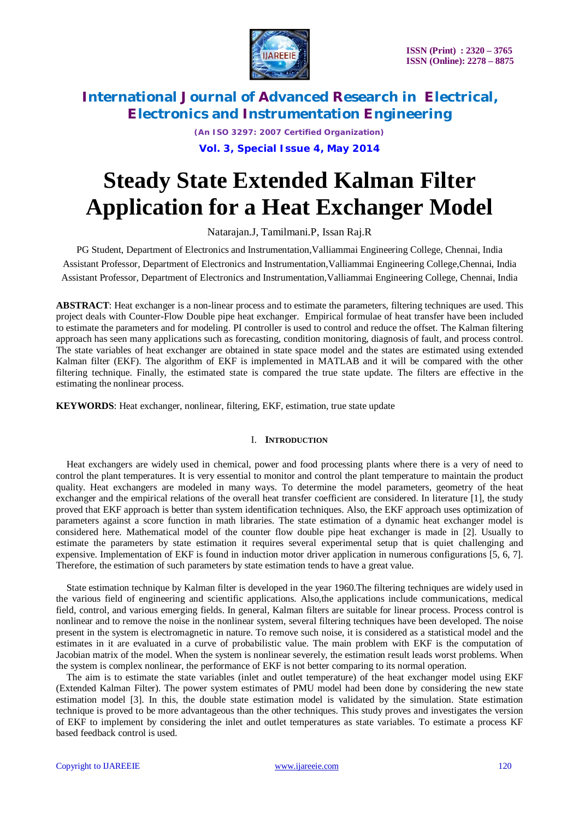

*(An ISO 3297: 2007 Certified Organization)*

**Vol. 3, Special Issue 4, May 2014**

# **Steady State Extended Kalman Filter Application for a Heat Exchanger Model**

Natarajan.J, Tamilmani.P, Issan Raj.R

PG Student, Department of Electronics and Instrumentation,Valliammai Engineering College, Chennai, India Assistant Professor, Department of Electronics and Instrumentation,Valliammai Engineering College,Chennai, India Assistant Professor, Department of Electronics and Instrumentation,Valliammai Engineering College, Chennai, India

**ABSTRACT**: Heat exchanger is a non-linear process and to estimate the parameters, filtering techniques are used. This project deals with Counter-Flow Double pipe heat exchanger. Empirical formulae of heat transfer have been included to estimate the parameters and for modeling. PI controller is used to control and reduce the offset. The Kalman filtering approach has seen many applications such as forecasting, condition monitoring, diagnosis of fault, and process control. The state variables of heat exchanger are obtained in state space model and the states are estimated using extended Kalman filter (EKF). The algorithm of EKF is implemented in MATLAB and it will be compared with the other filtering technique. Finally, the estimated state is compared the true state update. The filters are effective in the estimating the nonlinear process.

**KEYWORDS**: Heat exchanger, nonlinear, filtering, EKF, estimation, true state update

## I. **INTRODUCTION**

Heat exchangers are widely used in chemical, power and food processing plants where there is a very of need to control the plant temperatures. It is very essential to monitor and control the plant temperature to maintain the product quality. Heat exchangers are modeled in many ways. To determine the model parameters, geometry of the heat exchanger and the empirical relations of the overall heat transfer coefficient are considered. In literature [1], the study proved that EKF approach is better than system identification techniques. Also, the EKF approach uses optimization of parameters against a score function in math libraries. The state estimation of a dynamic heat exchanger model is considered here. Mathematical model of the counter flow double pipe heat exchanger is made in [2]. Usually to estimate the parameters by state estimation it requires several experimental setup that is quiet challenging and expensive. Implementation of EKF is found in induction motor driver application in numerous configurations [5, 6, 7]. Therefore, the estimation of such parameters by state estimation tends to have a great value.

State estimation technique by Kalman filter is developed in the year 1960.The filtering techniques are widely used in the various field of engineering and scientific applications. Also,the applications include communications, medical field, control, and various emerging fields. In general, Kalman filters are suitable for linear process. Process control is nonlinear and to remove the noise in the nonlinear system, several filtering techniques have been developed. The noise present in the system is electromagnetic in nature. To remove such noise, it is considered as a statistical model and the estimates in it are evaluated in a curve of probabilistic value. The main problem with EKF is the computation of Jacobian matrix of the model. When the system is nonlinear severely, the estimation result leads worst problems. When the system is complex nonlinear, the performance of EKF is not better comparing to its normal operation.

The aim is to estimate the state variables (inlet and outlet temperature) of the heat exchanger model using EKF (Extended Kalman Filter). The power system estimates of PMU model had been done by considering the new state estimation model [3]. In this, the double state estimation model is validated by the simulation. State estimation technique is proved to be more advantageous than the other techniques. This study proves and investigates the version of EKF to implement by considering the inlet and outlet temperatures as state variables. To estimate a process KF based feedback control is used.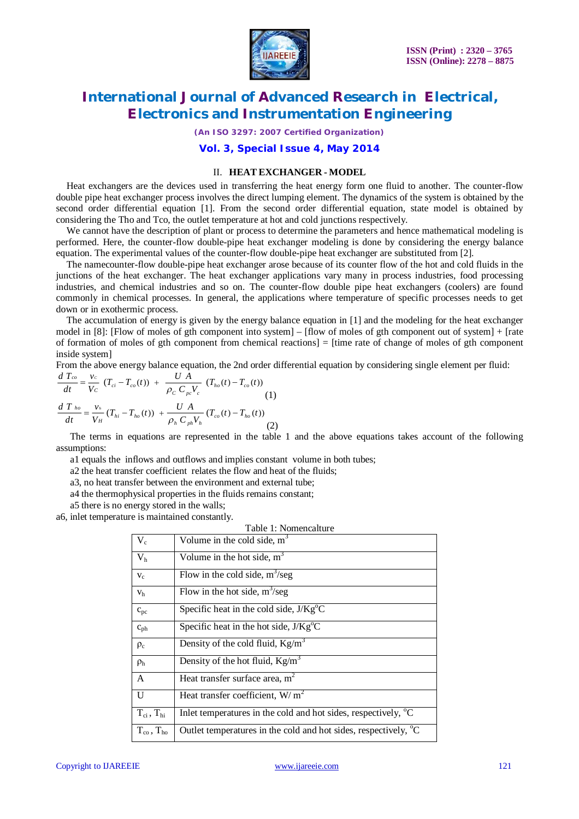

*(An ISO 3297: 2007 Certified Organization)*

## **Vol. 3, Special Issue 4, May 2014**

### II. **HEAT EXCHANGER - MODEL**

Heat exchangers are the devices used in transferring the heat energy form one fluid to another. The counter-flow double pipe heat exchanger process involves the direct lumping element. The dynamics of the system is obtained by the second order differential equation [1]. From the second order differential equation, state model is obtained by considering the Tho and Tco, the outlet temperature at hot and cold junctions respectively.

We cannot have the description of plant or process to determine the parameters and hence mathematical modeling is performed. Here, the counter-flow double-pipe heat exchanger modeling is done by considering the energy balance equation. The experimental values of the counter-flow double-pipe heat exchanger are substituted from [2].

The namecounter-flow double-pipe heat exchanger arose because of its counter flow of the hot and cold fluids in the junctions of the heat exchanger. The heat exchanger applications vary many in process industries, food processing industries, and chemical industries and so on. The counter-flow double pipe heat exchangers (coolers) are found commonly in chemical processes. In general, the applications where temperature of specific processes needs to get down or in exothermic process.

The accumulation of energy is given by the energy balance equation in [1] and the modeling for the heat exchanger model in [8]: [Flow of moles of gth component into system] – [flow of moles of gth component out of system] + [rate of formation of moles of gth component from chemical reactions] = [time rate of change of moles of gth component inside system]

From the above energy balance equation, the 2nd order differential equation by considering single element per fluid:

$$
\frac{d T_{co}}{dt} = \frac{v_c}{V_C} (T_{ci} - T_{co}(t)) + \frac{U A}{\rho_C C_{pc} V_c} (T_{ho}(t) - T_{co}(t))
$$
\n
$$
\frac{d T_{ho}}{dt} = \frac{v_h}{V_H} (T_{hi} - T_{ho}(t)) + \frac{U A}{\rho_h C_{ph} V_h} (T_{co}(t) - T_{ho}(t))
$$
\n(2)

The terms in equations are represented in the table 1 and the above equations takes account of the following assumptions:

a1 equals the inflows and outflows and implies constant volume in both tubes;

a2 the heat transfer coefficient relates the flow and heat of the fluids;

a3, no heat transfer between the environment and external tube;

a4 the thermophysical properties in the fluids remains constant;

a5 there is no energy stored in the walls;

a6, inlet temperature is maintained constantly.

| Table 1: Nomencalture       |                                                                             |
|-----------------------------|-----------------------------------------------------------------------------|
| $V_c$                       | Volume in the cold side, $m3$                                               |
| V <sub>h</sub>              | Volume in the hot side, $m3$                                                |
| $V_c$                       | Flow in the cold side, $m^3$ /seg                                           |
| V <sub>h</sub>              | Flow in the hot side, $m^3$ /seg                                            |
| $c_{pc}$                    | Specific heat in the cold side, $J/Kg^{\circ}C$                             |
| $c_{ph}$                    | Specific heat in the hot side, $J/Kg^{\circ}C$                              |
| $\rho_c$                    | Density of the cold fluid, $Kg/m^3$                                         |
| $\rho_h$                    | Density of the hot fluid, $Kg/m^3$                                          |
| A                           | Heat transfer surface area, $m2$                                            |
| U                           | Heat transfer coefficient, $W/m^2$                                          |
| $T_{ci}$ , $T_{hi}$         | Inlet temperatures in the cold and hot sides, respectively, <sup>o</sup> C  |
| $T_{\rm co}$ , $T_{\rm ho}$ | Outlet temperatures in the cold and hot sides, respectively, <sup>o</sup> C |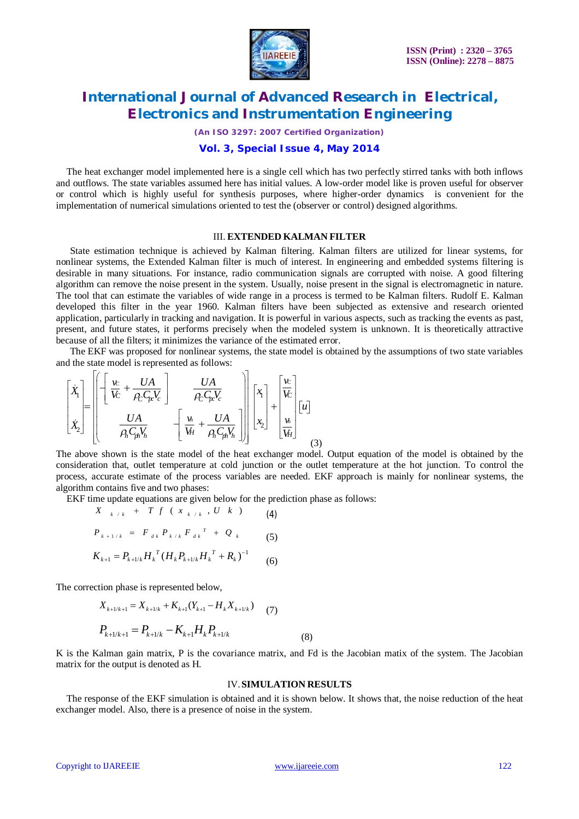

*(An ISO 3297: 2007 Certified Organization)*

### **Vol. 3, Special Issue 4, May 2014**

The heat exchanger model implemented here is a single cell which has two perfectly stirred tanks with both inflows and outflows. The state variables assumed here has initial values. A low-order model like is proven useful for observer or control which is highly useful for synthesis purposes, where higher-order dynamics is convenient for the implementation of numerical simulations oriented to test the (observer or control) designed algorithms.

#### III. **EXTENDED KALMAN FILTER**

State estimation technique is achieved by Kalman filtering. Kalman filters are utilized for linear systems, for nonlinear systems, the Extended Kalman filter is much of interest. In engineering and embedded systems filtering is desirable in many situations. For instance, radio communication signals are corrupted with noise. A good filtering algorithm can remove the noise present in the system. Usually, noise present in the signal is electromagnetic in nature. The tool that can estimate the variables of wide range in a process is termed to be Kalman filters. Rudolf E. Kalman developed this filter in the year 1960. Kalman filters have been subjected as extensive and research oriented application, particularly in tracking and navigation. It is powerful in various aspects, such as tracking the events as past, present, and future states, it performs precisely when the modeled system is unknown. It is theoretically attractive because of all the filters; it minimizes the variance of the estimated error.

The EKF was proposed for nonlinear systems, the state model is obtained by the assumptions of two state variables and the state model is represented as follows:

$$
\begin{bmatrix} \dot{X}_1 \\ \dot{X}_2 \end{bmatrix} = \begin{bmatrix} \left[ \begin{bmatrix} \frac{v}{V_c} + \frac{UA}{\rho_c C_{pr} V_c} \end{bmatrix} & \frac{UA}{\rho_c C_{pr} V_c} \\ \frac{UA}{\rho_h C_{ph} V_h} & \left[ \frac{v_h}{V_H} + \frac{UA}{\rho_h C_{ph} V_h} \end{bmatrix} \right] \begin{bmatrix} x_1 \\ x_2 \end{bmatrix} + \begin{bmatrix} \frac{v_c}{V_c} \\ \frac{v_h}{V_H} \end{bmatrix} \begin{bmatrix} u \end{bmatrix}
$$
 (3)

The above shown is the state model of the heat exchanger model. Output equation of the model is obtained by the consideration that, outlet temperature at cold junction or the outlet temperature at the hot junction. To control the process, accurate estimate of the process variables are needed. EKF approach is mainly for nonlinear systems, the algorithm contains five and two phases:

EKF time update equations are given below for the prediction phase as follows:

$$
X_{k/k} + T f (x_{k/k}, U k) \qquad (4)
$$

$$
P_{k+1/k} = F_{dk} P_{k/k} F_{dk}^T + Q_k \qquad (5)
$$

$$
K_{k+1} = P_{k+1/k} H_k^T (H_k P_{k+1/k} H_k^T + R_k)^{-1}
$$
 (6)

The correction phase is represented below,

$$
X_{k+1/k+1} = X_{k+1/k} + K_{k+1}(Y_{k+1} - H_k X_{k+1/k})
$$
 (7)

$$
P_{k+1/k+1} = P_{k+1/k} - K_{k+1} H_k P_{k+1/k}
$$
\n(8)

K is the Kalman gain matrix, P is the covariance matrix, and Fd is the Jacobian matix of the system. The Jacobian matrix for the output is denoted as H.

#### IV.**SIMULATION RESULTS**

The response of the EKF simulation is obtained and it is shown below. It shows that, the noise reduction of the heat exchanger model. Also, there is a presence of noise in the system.